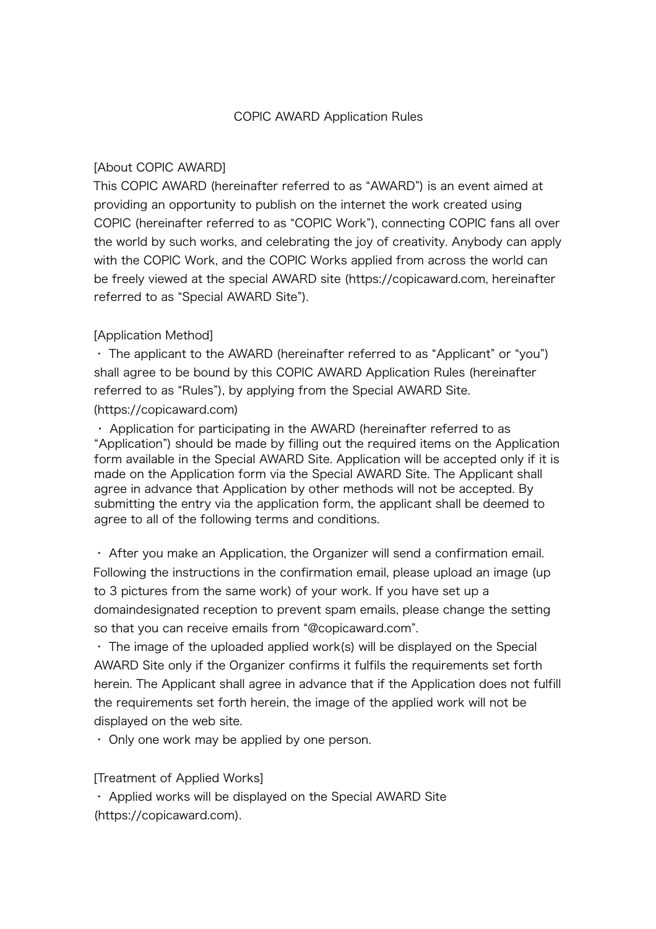#### [About COPIC AWARD]

This COPIC AWARD (hereinafter referred to as "AWARD") is an event aimed at providing an opportunity to publish on the internet the work created using COPIC (hereinafter referred to as "COPIC Work"), connecting COPIC fans all over the world by such works, and celebrating the joy of creativity. Anybody can apply with the COPIC Work, and the COPIC Works applied from across the world can be freely viewed at the special AWARD site (https://copicaward.com, hereinafter referred to as "Special AWARD Site").

#### [Application Method]

・ The applicant to the AWARD (hereinafter referred to as "Applicant" or "you") shall agree to be bound by this COPIC AWARD Application Rules (hereinafter referred to as "Rules"), by applying from the Special AWARD Site.

#### (https://copicaward.com)

・ Application for participating in the AWARD (hereinafter referred to as "Application") should be made by filling out the required items on the Application form available in the Special AWARD Site. Application will be accepted only if it is made on the Application form via the Special AWARD Site. The Applicant shall agree in advance that Application by other methods will not be accepted. By submitting the entry via the application form, the applicant shall be deemed to agree to all of the following terms and conditions.

・ After you make an Application, the Organizer will send a confirmation email. Following the instructions in the confirmation email, please upload an image (up to 3 pictures from the same work) of your work. If you have set up a domaindesignated reception to prevent spam emails, please change the setting so that you can receive emails from "@copicaward.com".

・ The image of the uploaded applied work(s) will be displayed on the Special AWARD Site only if the Organizer confirms it fulfils the requirements set forth herein. The Applicant shall agree in advance that if the Application does not fulfill the requirements set forth herein, the image of the applied work will not be displayed on the web site.

・ Only one work may be applied by one person.

#### [Treatment of Applied Works]

・ Applied works will be displayed on the Special AWARD Site (https://copicaward.com).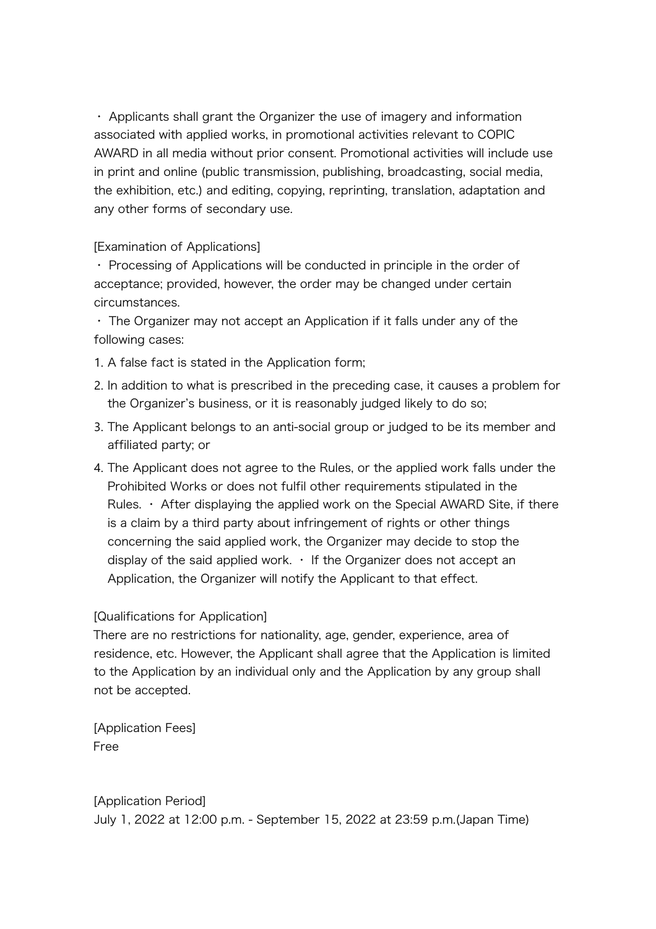・ Applicants shall grant the Organizer the use of imagery and information associated with applied works, in promotional activities relevant to COPIC AWARD in all media without prior consent. Promotional activities will include use in print and online (public transmission, publishing, broadcasting, social media, the exhibition, etc.) and editing, copying, reprinting, translation, adaptation and any other forms of secondary use.

[Examination of Applications]

・ Processing of Applications will be conducted in principle in the order of acceptance; provided, however, the order may be changed under certain circumstances.

・ The Organizer may not accept an Application if it falls under any of the following cases:

1. A false fact is stated in the Application form;

- 2. In addition to what is prescribed in the preceding case, it causes a problem for the Organizer's business, or it is reasonably judged likely to do so;
- 3. The Applicant belongs to an anti-social group or judged to be its member and affiliated party; or
- 4. The Applicant does not agree to the Rules, or the applied work falls under the Prohibited Works or does not fulfil other requirements stipulated in the Rules.  $\cdot$  After displaying the applied work on the Special AWARD Site, if there is a claim by a third party about infringement of rights or other things concerning the said applied work, the Organizer may decide to stop the display of the said applied work.  $\cdot$  If the Organizer does not accept an Application, the Organizer will notify the Applicant to that effect.

# [Qualifications for Application]

There are no restrictions for nationality, age, gender, experience, area of residence, etc. However, the Applicant shall agree that the Application is limited to the Application by an individual only and the Application by any group shall not be accepted.

[Application Fees] Free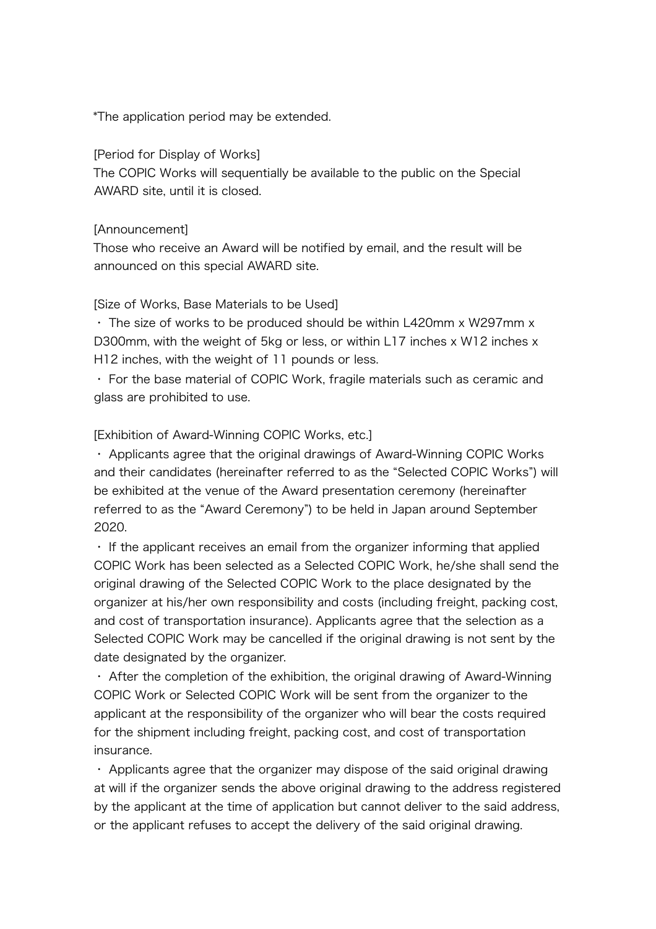\*The application period may be extended.

#### [Period for Display of Works]

The COPIC Works will sequentially be available to the public on the Special AWARD site, until it is closed.

#### [Announcement]

Those who receive an Award will be notified by email, and the result will be announced on this special AWARD site.

#### [Size of Works, Base Materials to be Used]

・ The size of works to be produced should be within L420mm x W297mm x D300mm, with the weight of 5kg or less, or within L17 inches x W12 inches x H12 inches, with the weight of 11 pounds or less.

・ For the base material of COPIC Work, fragile materials such as ceramic and glass are prohibited to use.

#### [Exhibition of Award-Winning COPIC Works, etc.]

・ Applicants agree that the original drawings of Award-Winning COPIC Works and their candidates (hereinafter referred to as the "Selected COPIC Works") will be exhibited at the venue of the Award presentation ceremony (hereinafter referred to as the "Award Ceremony") to be held in Japan around September 2020.

・ If the applicant receives an email from the organizer informing that applied COPIC Work has been selected as a Selected COPIC Work, he/she shall send the original drawing of the Selected COPIC Work to the place designated by the organizer at his/her own responsibility and costs (including freight, packing cost, and cost of transportation insurance). Applicants agree that the selection as a Selected COPIC Work may be cancelled if the original drawing is not sent by the date designated by the organizer.

・ After the completion of the exhibition, the original drawing of Award-Winning COPIC Work or Selected COPIC Work will be sent from the organizer to the applicant at the responsibility of the organizer who will bear the costs required for the shipment including freight, packing cost, and cost of transportation insurance.

・ Applicants agree that the organizer may dispose of the said original drawing at will if the organizer sends the above original drawing to the address registered by the applicant at the time of application but cannot deliver to the said address, or the applicant refuses to accept the delivery of the said original drawing.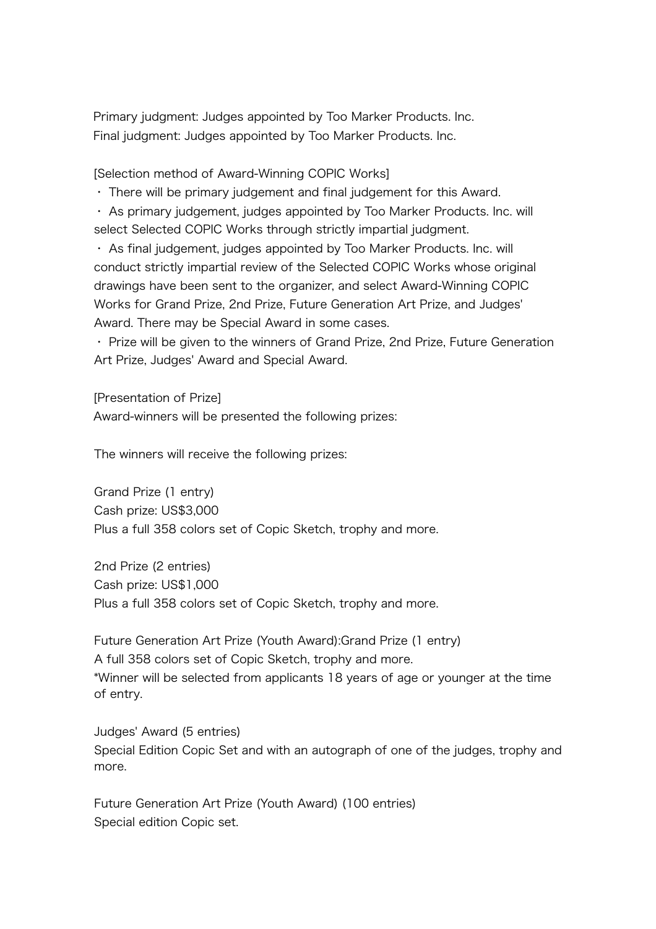Primary judgment: Judges appointed by Too Marker Products. Inc. Final judgment: Judges appointed by Too Marker Products. Inc.

[Selection method of Award-Winning COPIC Works]

・ There will be primary judgement and final judgement for this Award.

・ As primary judgement, judges appointed by Too Marker Products. Inc. will select Selected COPIC Works through strictly impartial judgment.

・ As final judgement, judges appointed by Too Marker Products. Inc. will conduct strictly impartial review of the Selected COPIC Works whose original drawings have been sent to the organizer, and select Award-Winning COPIC Works for Grand Prize, 2nd Prize, Future Generation Art Prize, and Judges' Award. There may be Special Award in some cases.

・ Prize will be given to the winners of Grand Prize, 2nd Prize, Future Generation Art Prize, Judges' Award and Special Award.

[Presentation of Prize] Award-winners will be presented the following prizes:

The winners will receive the following prizes:

Grand Prize (1 entry) Cash prize: US\$3,000 Plus a full 358 colors set of Copic Sketch, trophy and more.

2nd Prize (2 entries) Cash prize: US\$1,000 Plus a full 358 colors set of Copic Sketch, trophy and more.

Future Generation Art Prize (Youth Award):Grand Prize (1 entry) A full 358 colors set of Copic Sketch, trophy and more. \*Winner will be selected from applicants 18 years of age or younger at the time of entry.

Judges' Award (5 entries) Special Edition Copic Set and with an autograph of one of the judges, trophy and more.

Future Generation Art Prize (Youth Award) (100 entries) Special edition Copic set.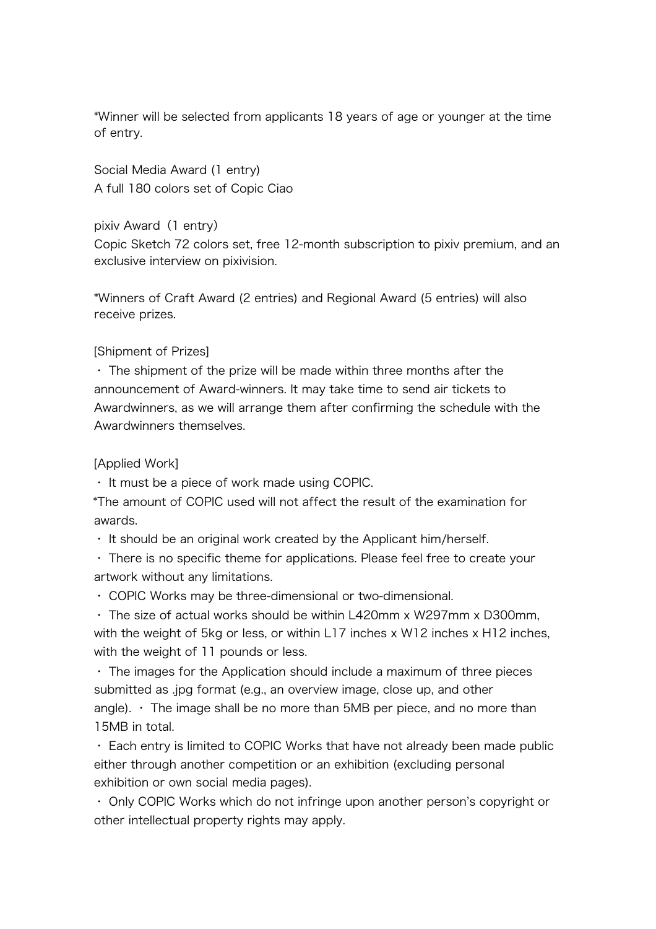\*Winner will be selected from applicants 18 years of age or younger at the time of entry.

Social Media Award (1 entry) A full 180 colors set of Copic Ciao

pixiv Award (1 entry) Copic Sketch 72 colors set, free 12-month subscription to pixiv premium, and an exclusive interview on pixivision.

\*Winners of Craft Award (2 entries) and Regional Award (5 entries) will also receive prizes.

## [Shipment of Prizes]

・ The shipment of the prize will be made within three months after the announcement of Award-winners. It may take time to send air tickets to Awardwinners, as we will arrange them after confirming the schedule with the Awardwinners themselves.

#### [Applied Work]

・ It must be a piece of work made using COPIC.

\*The amount of COPIC used will not affect the result of the examination for awards.

・ It should be an original work created by the Applicant him/herself.

・ There is no specific theme for applications. Please feel free to create your artwork without any limitations.

・ COPIC Works may be three-dimensional or two-dimensional.

・ The size of actual works should be within L420mm x W297mm x D300mm, with the weight of 5kg or less, or within L17 inches x W12 inches x H12 inches, with the weight of 11 pounds or less.

・ The images for the Application should include a maximum of three pieces submitted as .jpg format (e.g., an overview image, close up, and other angle).  $\cdot$  The image shall be no more than 5MB per piece, and no more than 15MB in total.

・ Each entry is limited to COPIC Works that have not already been made public either through another competition or an exhibition (excluding personal exhibition or own social media pages).

・ Only COPIC Works which do not infringe upon another person's copyright or other intellectual property rights may apply.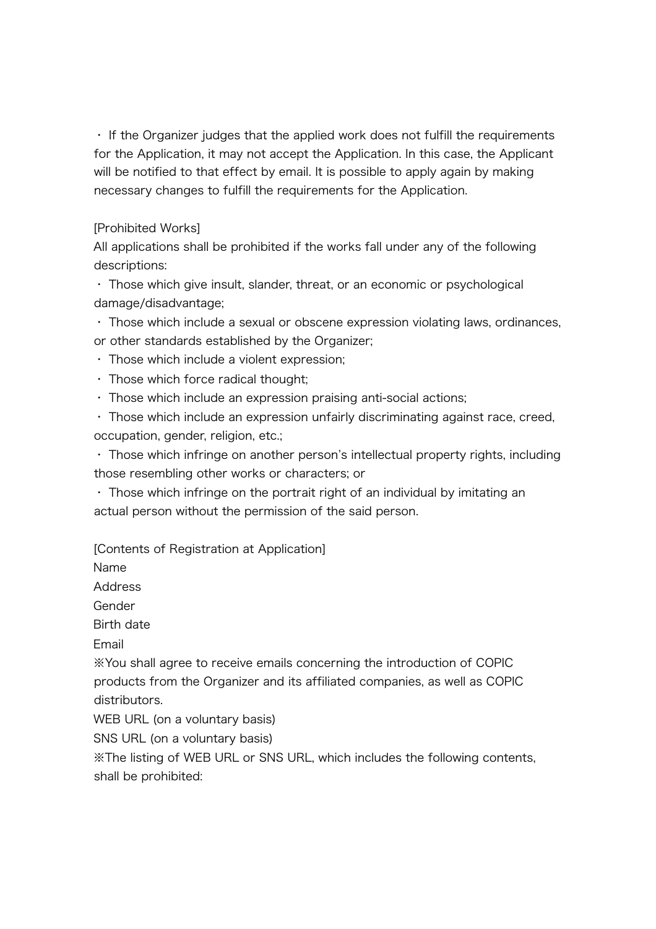・ If the Organizer judges that the applied work does not fulfill the requirements for the Application, it may not accept the Application. In this case, the Applicant will be notified to that effect by email. It is possible to apply again by making necessary changes to fulfill the requirements for the Application.

## [Prohibited Works]

All applications shall be prohibited if the works fall under any of the following descriptions:

・ Those which give insult, slander, threat, or an economic or psychological damage/disadvantage;

・ Those which include a sexual or obscene expression violating laws, ordinances, or other standards established by the Organizer;

・ Those which include a violent expression;

・ Those which force radical thought;

・ Those which include an expression praising anti-social actions;

・ Those which include an expression unfairly discriminating against race, creed, occupation, gender, religion, etc.;

・ Those which infringe on another person's intellectual property rights, including those resembling other works or characters; or

・ Those which infringe on the portrait right of an individual by imitating an actual person without the permission of the said person.

[Contents of Registration at Application]

Name

**Address** 

Gender

Birth date

Email

※You shall agree to receive emails concerning the introduction of COPIC products from the Organizer and its affiliated companies, as well as COPIC distributors.

WEB URL (on a voluntary basis)

SNS URL (on a voluntary basis)

※The listing of WEB URL or SNS URL, which includes the following contents, shall be prohibited: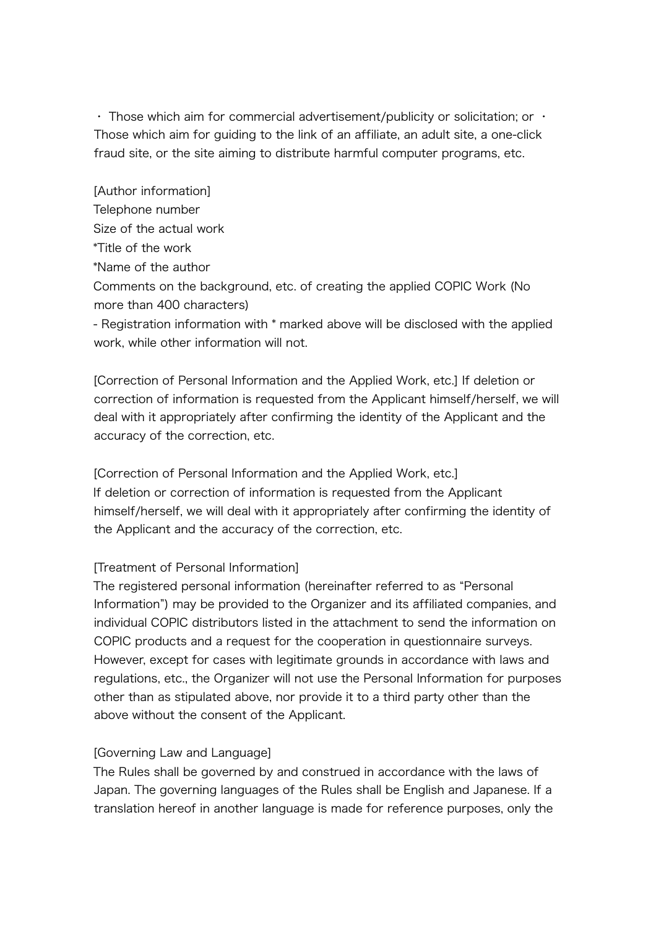• Those which aim for commercial advertisement/publicity or solicitation; or  $\cdot$ Those which aim for guiding to the link of an affiliate, an adult site, a one-click fraud site, or the site aiming to distribute harmful computer programs, etc.

[Author information] Telephone number Size of the actual work \*Title of the work \*Name of the author

Comments on the background, etc. of creating the applied COPIC Work (No more than 400 characters)

- Registration information with \* marked above will be disclosed with the applied work, while other information will not.

[Correction of Personal Information and the Applied Work, etc.] If deletion or correction of information is requested from the Applicant himself/herself, we will deal with it appropriately after confirming the identity of the Applicant and the accuracy of the correction, etc.

[Correction of Personal Information and the Applied Work, etc.] If deletion or correction of information is requested from the Applicant himself/herself, we will deal with it appropriately after confirming the identity of the Applicant and the accuracy of the correction, etc.

# [Treatment of Personal Information]

The registered personal information (hereinafter referred to as "Personal Information") may be provided to the Organizer and its affiliated companies, and individual COPIC distributors listed in the attachment to send the information on COPIC products and a request for the cooperation in questionnaire surveys. However, except for cases with legitimate grounds in accordance with laws and regulations, etc., the Organizer will not use the Personal Information for purposes other than as stipulated above, nor provide it to a third party other than the above without the consent of the Applicant.

# [Governing Law and Language]

The Rules shall be governed by and construed in accordance with the laws of Japan. The governing languages of the Rules shall be English and Japanese. If a translation hereof in another language is made for reference purposes, only the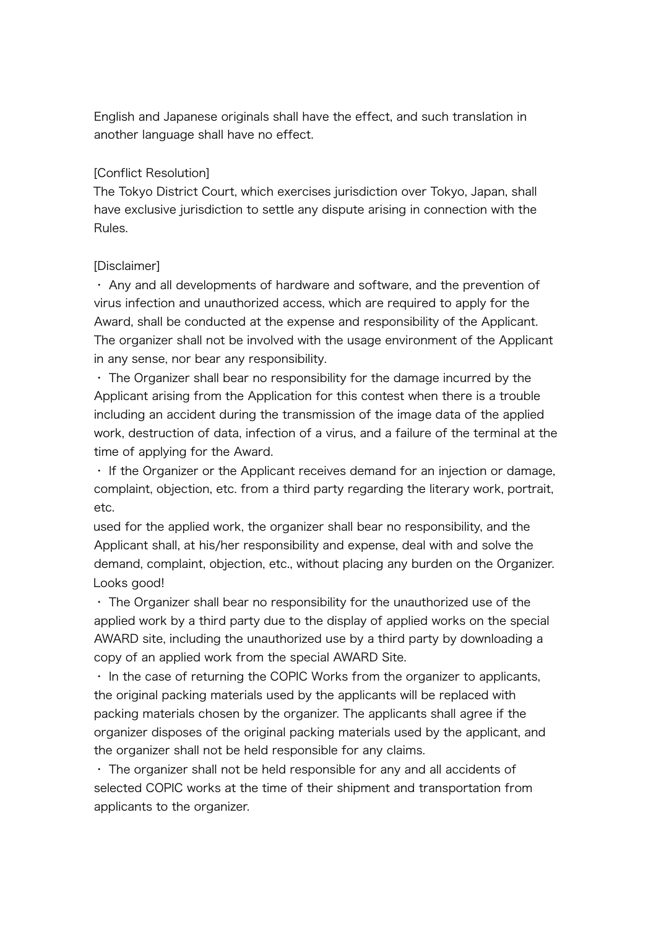English and Japanese originals shall have the effect, and such translation in another language shall have no effect.

## [Conflict Resolution]

The Tokyo District Court, which exercises jurisdiction over Tokyo, Japan, shall have exclusive jurisdiction to settle any dispute arising in connection with the Rules.

## [Disclaimer]

・ Any and all developments of hardware and software, and the prevention of virus infection and unauthorized access, which are required to apply for the Award, shall be conducted at the expense and responsibility of the Applicant. The organizer shall not be involved with the usage environment of the Applicant in any sense, nor bear any responsibility.

・ The Organizer shall bear no responsibility for the damage incurred by the Applicant arising from the Application for this contest when there is a trouble including an accident during the transmission of the image data of the applied work, destruction of data, infection of a virus, and a failure of the terminal at the time of applying for the Award.

・ If the Organizer or the Applicant receives demand for an injection or damage, complaint, objection, etc. from a third party regarding the literary work, portrait, etc.

used for the applied work, the organizer shall bear no responsibility, and the Applicant shall, at his/her responsibility and expense, deal with and solve the demand, complaint, objection, etc., without placing any burden on the Organizer. Looks good!

・ The Organizer shall bear no responsibility for the unauthorized use of the applied work by a third party due to the display of applied works on the special AWARD site, including the unauthorized use by a third party by downloading a copy of an applied work from the special AWARD Site.

・ In the case of returning the COPIC Works from the organizer to applicants, the original packing materials used by the applicants will be replaced with packing materials chosen by the organizer. The applicants shall agree if the organizer disposes of the original packing materials used by the applicant, and the organizer shall not be held responsible for any claims.

・ The organizer shall not be held responsible for any and all accidents of selected COPIC works at the time of their shipment and transportation from applicants to the organizer.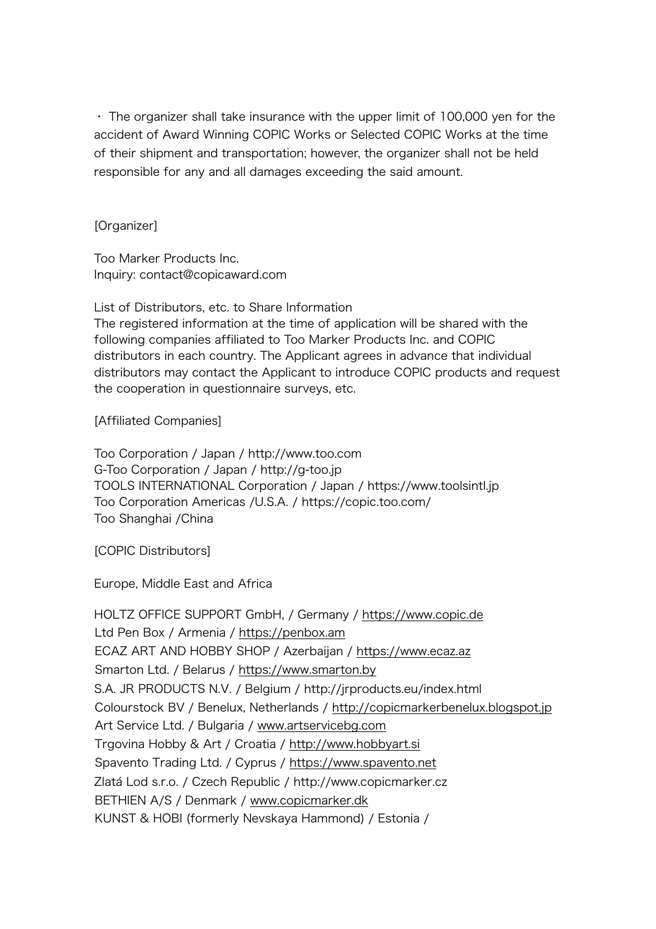・ The organizer shall take insurance with the upper limit of 100,000 yen for the accident of Award Winning COPIC Works or Selected COPIC Works at the time of their shipment and transportation; however, the organizer shall not be held responsible for any and all damages exceeding the said amount.

[Organizer]

Too Marker Products Inc. Inquiry: contact@copicaward.com

List of Distributors, etc. to Share Information The registered information at the time of application will be shared with the following companies affiliated to Too Marker Products Inc. and COPIC distributors in each country. The Applicant agrees in advance that individual distributors may contact the Applicant to introduce COPIC products and request the cooperation in questionnaire surveys, etc.

[Affiliated Companies]

Too Corporation / Japan / http://www.too.com G-Too Corporation / Japan / http://g-too.jp TOOLS INTERNATIONAL Corporation / Japan / https://www.toolsintl.jp Too Corporation Americas /U.S.A. / https://copic.too.com/ Too Shanghai /China

[COPIC Distributors]

Europe, Middle East and Africa

HOLTZ OFFICE SUPPORT GmbH, / Germany / https://www.copic.de Ltd Pen Box / Armenia / https://penbox.am ECAZ ART AND HOBBY SHOP / Azerbaijan / https://www.ecaz.az Smarton Ltd. / Belarus / https://www.smarton.by S.A. JR PRODUCTS N.V. / Belgium / http://jrproducts.eu/index.html Colourstock BV / Benelux, Netherlands / http://copicmarkerbenelux.blogspot.jp Art Service Ltd. / Bulgaria / www.artservicebg.com Trgovina Hobby & Art / Croatia / http://www.hobbyart.si Spavento Trading Ltd. / Cyprus / https://www.spavento.net Zlatá Lod s.r.o. / Czech Republic / http://www.copicmarker.cz BETHIEN A/S / Denmark / www.copicmarker.dk KUNST & HOBI (formerly Nevskaya Hammond) / Estonia /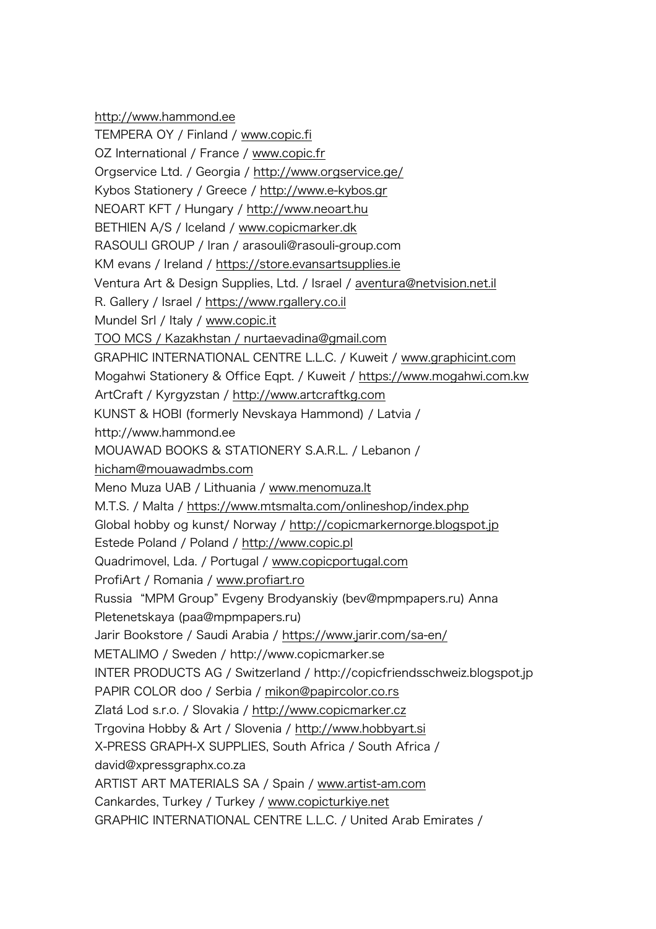http://www.hammond.ee TEMPERA OY / Finland / www.copic.fi OZ International / France / www.copic.fr Orgservice Ltd. / Georgia / http://www.orgservice.ge/ Kybos Stationery / Greece / http://www.e-kybos.gr NEOART KFT / Hungary / http://www.neoart.hu BETHIEN A/S / Iceland / www.copicmarker.dk RASOULI GROUP / Iran / arasouli@rasouli-group.com KM evans / Ireland / https://store.evansartsupplies.ie Ventura Art & Design Supplies, Ltd. / Israel / aventura@netvision.net.il R. Gallery / Israel / https://www.rgallery.co.il Mundel Srl / Italy / www.copic.it TOO MCS / Kazakhstan / nurtaevadina@gmail.com GRAPHIC INTERNATIONAL CENTRE L.L.C. / Kuweit / www.graphicint.com Mogahwi Stationery & Office Eqpt. / Kuweit / https://www.mogahwi.com.kw ArtCraft / Kyrgyzstan / http://www.artcraftkg.com KUNST & HOBI (formerly Nevskaya Hammond) / Latvia / http://www.hammond.ee MOUAWAD BOOKS & STATIONERY S.A.R.L. / Lebanon / hicham@mouawadmbs.com Meno Muza UAB / Lithuania / www.menomuza.lt M.T.S. / Malta / https://www.mtsmalta.com/onlineshop/index.php Global hobby og kunst/ Norway / http://copicmarkernorge.blogspot.jp Estede Poland / Poland / http://www.copic.pl Quadrimovel, Lda. / Portugal / www.copicportugal.com ProfiArt / Romania / www.profiart.ro Russia "MPM Group" Evgeny Brodyanskiy (bev@mpmpapers.ru) Anna Pletenetskaya (paa@mpmpapers.ru) Jarir Bookstore / Saudi Arabia / https://www.jarir.com/sa-en/ METALIMO / Sweden / http://www.copicmarker.se INTER PRODUCTS AG / Switzerland / http://copicfriendsschweiz.blogspot.jp PAPIR COLOR doo / Serbia / mikon@papircolor.co.rs Zlatá Lod s.r.o. / Slovakia / http://www.copicmarker.cz Trgovina Hobby & Art / Slovenia / http://www.hobbyart.si X-PRESS GRAPH-X SUPPLIES, South Africa / South Africa / david@xpressgraphx.co.za ARTIST ART MATERIALS SA / Spain / www.artist-am.com Cankardes, Turkey / Turkey / www.copicturkiye.net GRAPHIC INTERNATIONAL CENTRE L.L.C. / United Arab Emirates /